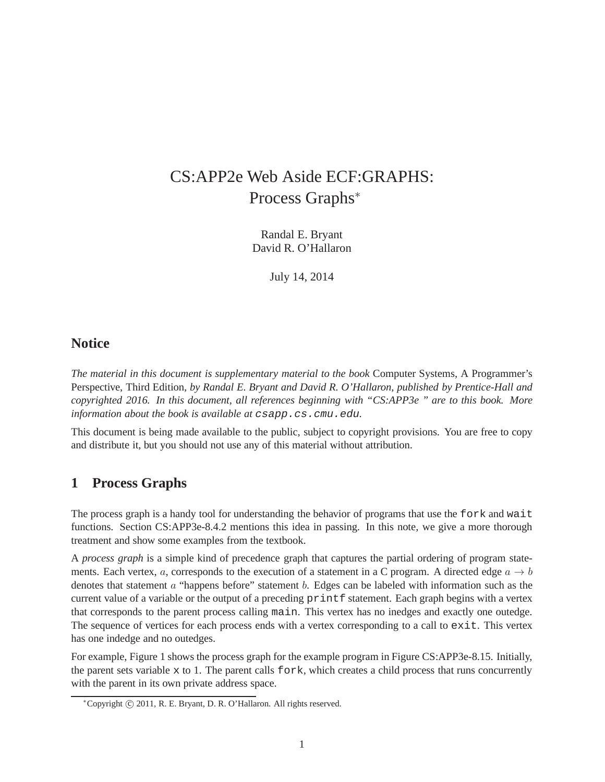## CS:APP2e Web Aside ECF:GRAPHS: Process Graphs<sup>∗</sup>

Randal E. Bryant David R. O'Hallaron

July 14, 2014

## **Notice**

*The material in this document is supplementary material to the book* Computer Systems, A Programmer's Perspective, Third Edition*, by Randal E. Bryant and David R. O'Hallaron, published by Prentice-Hall and copyrighted 2016. In this document, all references beginning with "CS:APP3e " are to this book. More information about the book is available at* csapp.cs.cmu.edu*.*

This document is being made available to the public, subject to copyright provisions. You are free to copy and distribute it, but you should not use any of this material without attribution.

## **1 Process Graphs**

The process graph is a handy tool for understanding the behavior of programs that use the fork and wait functions. Section CS:APP3e-8.4.2 mentions this idea in passing. In this note, we give a more thorough treatment and show some examples from the textbook.

A *process graph* is a simple kind of precedence graph that captures the partial ordering of program statements. Each vertex, a, corresponds to the execution of a statement in a C program. A directed edge  $a \rightarrow b$ denotes that statement a "happens before" statement b. Edges can be labeled with information such as the current value of a variable or the output of a preceding printf statement. Each graph begins with a vertex that corresponds to the parent process calling main. This vertex has no inedges and exactly one outedge. The sequence of vertices for each process ends with a vertex corresponding to a call to exit. This vertex has one indedge and no outedges.

For example, Figure 1 shows the process graph for the example program in Figure CS:APP3e-8.15. Initially, the parent sets variable  $x$  to 1. The parent calls fork, which creates a child process that runs concurrently with the parent in its own private address space.

<sup>∗</sup>Copyright c 2011, R. E. Bryant, D. R. O'Hallaron. All rights reserved.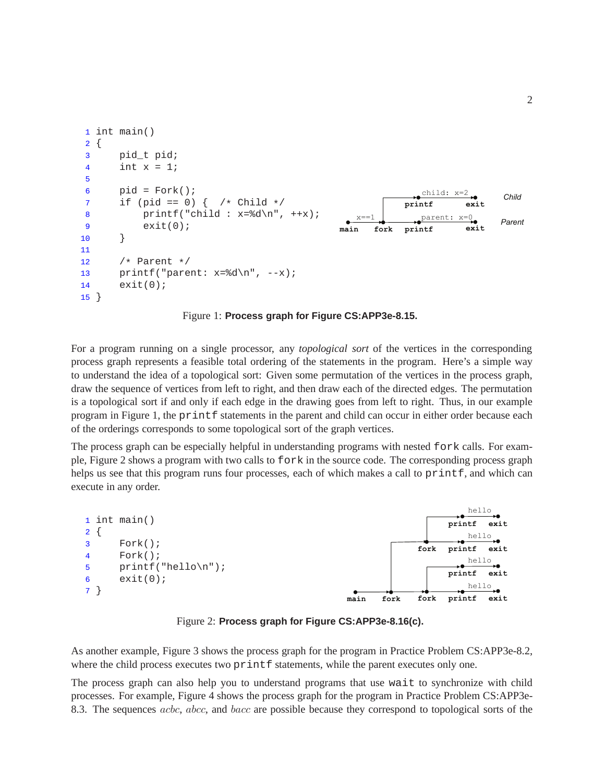```
1 int main()
2 \{3 pid_t pid;
4 int x = 1;
5
6 pid = Fork();
7 if (pid == 0) \{\n\}/\n Child \*/8 printf("child : x=\dfrac{\dfrac{1}{x}-\dfrac{1}{x}}{x+\dfrac{\dfrac{1}{x}}{x}}9 exit(0);
10 }
11
12 /* Parent */13 printf("parent: x=\frac{d}{n}, -x;
14 exit(0);
15 }
                                                                  child: x=2 
                                                  main fork printf 
                                                               printf 
                                                      x == 1exit 
                                                                  parent: x=0 
                                                                           exit 
                                                                                  Parent 
                                                                                   Child
```
Figure 1: **Process graph for Figure CS:APP3e-8.15.**

For a program running on a single processor, any *topological sort* of the vertices in the corresponding process graph represents a feasible total ordering of the statements in the program. Here's a simple way to understand the idea of a topological sort: Given some permutation of the vertices in the process graph, draw the sequence of vertices from left to right, and then draw each of the directed edges. The permutation is a topological sort if and only if each edge in the drawing goes from left to right. Thus, in our example program in Figure 1, the printf statements in the parent and child can occur in either order because each of the orderings corresponds to some topological sort of the graph vertices.

The process graph can be especially helpful in understanding programs with nested fork calls. For example, Figure 2 shows a program with two calls to fork in the source code. The corresponding process graph helps us see that this program runs four processes, each of which makes a call to printf, and which can execute in any order.



Figure 2: **Process graph for Figure CS:APP3e-8.16(c).**

As another example, Figure 3 shows the process graph for the program in Practice Problem CS:APP3e-8.2, where the child process executes two printf statements, while the parent executes only one.

The process graph can also help you to understand programs that use wait to synchronize with child processes. For example, Figure 4 shows the process graph for the program in Practice Problem CS:APP3e-8.3. The sequences acbc, abcc, and bacc are possible because they correspond to topological sorts of the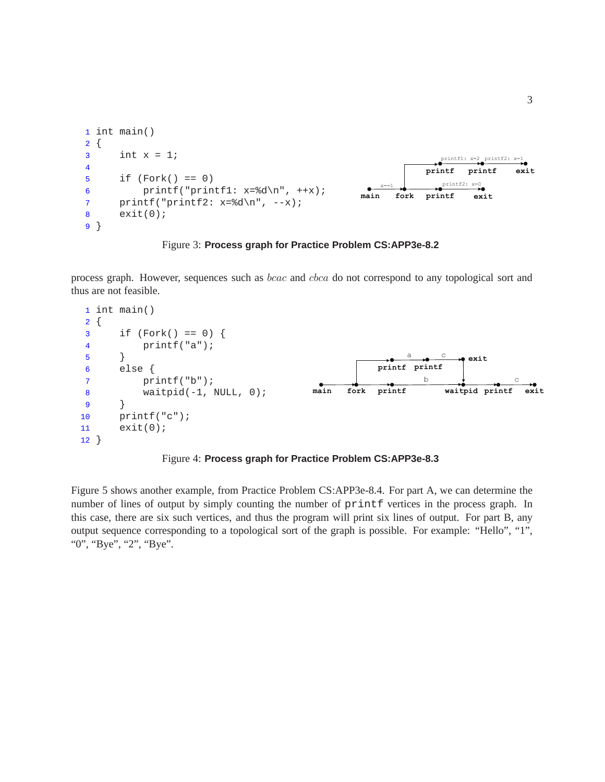```
1 int main()
2 \{3 int x = 1;
4
5 if (Fork() == 0)
6 printf("printf1: x=\dagger d\n+ x);
7 printf("printf2: x=\d{a}{n", -x);
8 exit(0);
9 }
                                                                 printf1: x=2 
printf2: x=1 
                                                  main fork printf 
                                                              printf 
                                                                 printf2: x=0exit 
                                                                     printf exit
```


process graph. However, sequences such as bcac and cbca do not correspond to any topological sort and thus are not feasible.



Figure 4: **Process graph for Practice Problem CS:APP3e-8.3**

Figure 5 shows another example, from Practice Problem CS:APP3e-8.4. For part A, we can determine the number of lines of output by simply counting the number of  $\text{print}$  vertices in the process graph. In this case, there are six such vertices, and thus the program will print six lines of output. For part B, any output sequence corresponding to a topological sort of the graph is possible. For example: "Hello", "1", "0", "Bye", "2", "Bye".